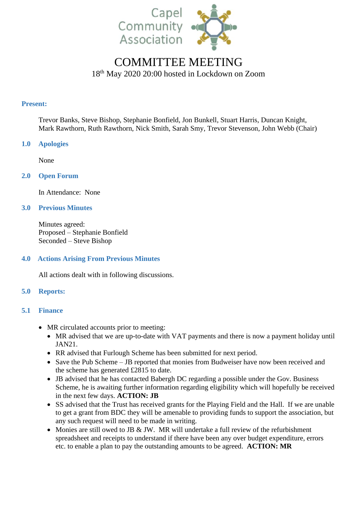

# COMMITTEE MEETING 18th May 2020 20:00 hosted in Lockdown on Zoom

#### **Present:**

Trevor Banks, Steve Bishop, Stephanie Bonfield, Jon Bunkell, Stuart Harris, Duncan Knight, Mark Rawthorn, Ruth Rawthorn, Nick Smith, Sarah Smy, Trevor Stevenson, John Webb (Chair)

# **1.0 Apologies**

None

# **2.0 Open Forum**

In Attendance: None

# **3.0 Previous Minutes**

Minutes agreed: Proposed – Stephanie Bonfield Seconded – Steve Bishop

# **4.0 Actions Arising From Previous Minutes**

All actions dealt with in following discussions.

# **5.0 Reports:**

# **5.1 Finance**

- MR circulated accounts prior to meeting:
	- MR advised that we are up-to-date with VAT payments and there is now a payment holiday until JAN21.
	- RR advised that Furlough Scheme has been submitted for next period.
	- Save the Pub Scheme JB reported that monies from Budweiser have now been received and the scheme has generated £2815 to date.
	- JB advised that he has contacted Babergh DC regarding a possible under the Gov. Business Scheme, he is awaiting further information regarding eligibility which will hopefully be received in the next few days. **ACTION: JB**
	- SS advised that the Trust has received grants for the Playing Field and the Hall. If we are unable to get a grant from BDC they will be amenable to providing funds to support the association, but any such request will need to be made in writing.
	- Monies are still owed to JB & JW. MR will undertake a full review of the refurbishment spreadsheet and receipts to understand if there have been any over budget expenditure, errors etc. to enable a plan to pay the outstanding amounts to be agreed. **ACTION: MR**